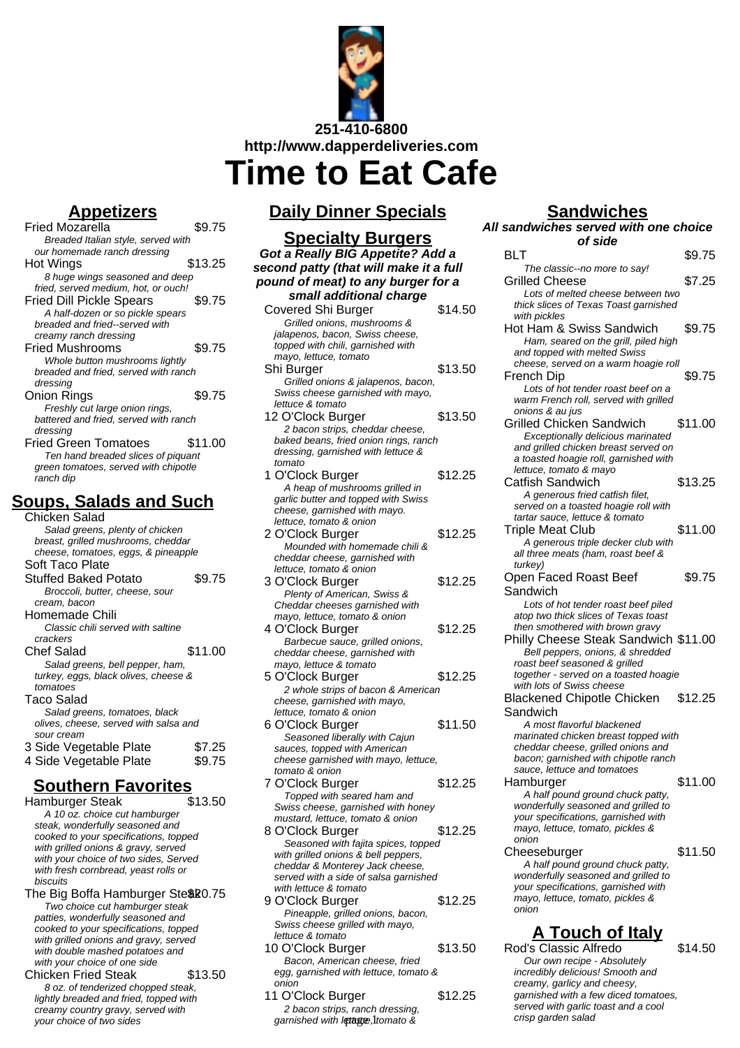

**Appetizers**

Fried Mozarella **\$9.75** Breaded Italian style, served with our homemade ranch dressing Hot Wings \$13.25 8 huge wings seasoned and deep fried, served medium, hot, or ouch! Fried Dill Pickle Spears \$9.75 A half-dozen or so pickle spears breaded and fried--served with creamy ranch dressing Fried Mushrooms \$9.75 Whole button mushrooms lightly breaded and fried, served with ranch dressing Onion Rings \$9.75 Freshly cut large onion rings, battered and fried, served with ranch dressing Fried Green Tomatoes \$11.00 Ten hand breaded slices of piquant green tomatoes, served with chipotle ranch dip **Soups, Salads and Such**

#### Chicken Salad Salad greens, plenty of chicken breast, grilled mushrooms, cheddar cheese, tomatoes, eggs, & pineapple Soft Taco Plate Stuffed Baked Potato \$9.75 Broccoli, butter, cheese, sour cream, bacon Homemade Chili Classic chili served with saltine crackers Chef Salad \$11.00 Salad greens, bell pepper, ham, turkey, eggs, black olives, cheese & tomatoes Taco Salad Salad greens, tomatoes, black olives, cheese, served with salsa and sour cream 3 Side Vegetable Plate \$7.25 4 Side Vegetable Plate \$9.75

# **Southern Favorites**

- Hamburger Steak A 10 oz. choice cut hamburger steak, wonderfully seasoned and cooked to your specifications, topped with grilled onions & gravy, served with your choice of two sides, Served with fresh cornbread, yeast rolls or biscuits
- The Big Boffa Hamburger Ste \$20.75 Two choice cut hamburger steak patties, wonderfully seasoned and cooked to your specifications, topped with grilled onions and gravy, served with double mashed potatoes and with your choice of one side

Chicken Fried Steak \$13.50 8 oz. of tenderized chopped steak, lightly breaded and fried, topped with creamy country gravy, served with your choice of two sides

# **Daily Dinner Specials**

## **Specialty Burgers**

| <u>Specialty Burgers</u>               |         |  |  |  |
|----------------------------------------|---------|--|--|--|
| Got a Really BIG Appetite? Add a       |         |  |  |  |
| second patty (that will make it a full |         |  |  |  |
| pound of meat) to any burger for a     |         |  |  |  |
|                                        |         |  |  |  |
| small additional charge                |         |  |  |  |
| Covered Shi Burger                     | \$14.50 |  |  |  |
| Grilled onions, mushrooms &            |         |  |  |  |
| jalapenos, bacon, Swiss cheese,        |         |  |  |  |
| topped with chili, garnished with      |         |  |  |  |
| mayo, lettuce, tomato                  |         |  |  |  |
| Shi Burger                             | \$13.50 |  |  |  |
| Grilled onions & jalapenos, bacon,     |         |  |  |  |
| Swiss cheese garnished with mayo,      |         |  |  |  |
| lettuce & tomato                       |         |  |  |  |
| 12 O'Clock Burger                      | \$13.50 |  |  |  |
| 2 bacon strips, cheddar cheese,        |         |  |  |  |
| baked beans, fried onion rings, ranch  |         |  |  |  |
| dressing, garnished with lettuce &     |         |  |  |  |
| tomato                                 |         |  |  |  |
| 1 O'Clock Burger                       | \$12.25 |  |  |  |
| A heap of mushrooms grilled in         |         |  |  |  |
| garlic butter and topped with Swiss    |         |  |  |  |
| cheese, garnished with mayo.           |         |  |  |  |
| lettuce, tomato & onion                |         |  |  |  |
| 2 O'Clock Burger                       | \$12.25 |  |  |  |
| Mounded with homemade chili &          |         |  |  |  |
| cheddar cheese, garnished with         |         |  |  |  |
| lettuce, tomato & onion                |         |  |  |  |
| 3 O'Clock Burger                       | \$12.25 |  |  |  |
| Plenty of American, Swiss &            |         |  |  |  |
| Cheddar cheeses garnished with         |         |  |  |  |
| mayo, lettuce, tomato & onion          |         |  |  |  |
| 4 O'Clock Burger                       | \$12.25 |  |  |  |
| Barbecue sauce, grilled onions,        |         |  |  |  |
| cheddar cheese, garnished with         |         |  |  |  |
| mayo, lettuce & tomato                 |         |  |  |  |
| 5 O'Clock Burger                       | \$12.25 |  |  |  |
| 2 whole strips of bacon & American     |         |  |  |  |
| cheese, garnished with mayo,           |         |  |  |  |
| lettuce, tomato & onion                |         |  |  |  |
| 6 O'Clock Burger                       | \$11.50 |  |  |  |
| Seasoned liberally with Cajun          |         |  |  |  |
| sauces, topped with American           |         |  |  |  |
| cheese garnished with mayo, lettuce,   |         |  |  |  |
| tomato & onion                         |         |  |  |  |
| 7 O'Clock Burger                       | \$12.25 |  |  |  |
| Topped with seared ham and             |         |  |  |  |
| Swiss cheese, garnished with honey     |         |  |  |  |
| mustard, lettuce, tomato & onion       |         |  |  |  |
| 8 O'Clock Burger                       | \$12.25 |  |  |  |
| Seasoned with fajita spices, topped    |         |  |  |  |
| with grilled onions & bell peppers,    |         |  |  |  |
| cheddar & Monterey Jack cheese,        |         |  |  |  |
| served with a side of salsa garnished  |         |  |  |  |
| with lettuce & tomato                  |         |  |  |  |
| 9 O'Clock Burger                       | \$12.25 |  |  |  |
| Pineapple, grilled onions, bacon,      |         |  |  |  |
| Swiss cheese grilled with mayo,        |         |  |  |  |

- lettuce & tomato 10 O'Clock Burger \$13.50 Bacon, American cheese, fried egg, garnished with lettuce, tomato & onion
- 11 O'Clock Burger \$12.25 2 bacon strips, ranch dressing, garnished with letage, Itomato &

## **Sandwiches**

**All sandwiches served with one choice of side** BLT \$9.75

| The classic--no more to say!                                               |         |
|----------------------------------------------------------------------------|---------|
| Grilled Cheese                                                             | \$7.25  |
| Lots of melted cheese between two                                          |         |
| thick slices of Texas Toast garnished                                      |         |
| with pickles                                                               |         |
| Hot Ham & Swiss Sandwich                                                   | \$9.75  |
| Ham, seared on the grill, piled high<br>and topped with melted Swiss       |         |
| cheese, served on a warm hoagie roll                                       |         |
| French Dip                                                                 | \$9.75  |
| Lots of hot tender roast beef on a                                         |         |
| warm French roll, served with grilled                                      |         |
| onions & au jus                                                            |         |
| <b>Grilled Chicken Sandwich</b>                                            | \$11.00 |
| Exceptionally delicious marinated                                          |         |
| and grilled chicken breast served on                                       |         |
| a toasted hoagie roll, garnished with                                      |         |
| lettuce, tomato & mayo                                                     |         |
| Catfish Sandwich                                                           | \$13.25 |
| A generous fried catfish filet,                                            |         |
| served on a toasted hoagie roll with<br>tartar sauce, lettuce & tomato     |         |
| <b>Triple Meat Club</b>                                                    | \$11.00 |
| A generous triple decker club with                                         |         |
| all three meats (ham, roast beef &                                         |         |
| turkey)                                                                    |         |
| Open Faced Roast Beef                                                      | \$9.75  |
| Sandwich                                                                   |         |
| Lots of hot tender roast beef piled                                        |         |
| atop two thick slices of Texas toast                                       |         |
| then smothered with brown gravy                                            |         |
| Philly Cheese Steak Sandwich \$11.00                                       |         |
| Bell peppers, onions, & shredded                                           |         |
| roast beef seasoned & grilled                                              |         |
| together - served on a toasted hoagie                                      |         |
| with lots of Swiss cheese                                                  |         |
| <b>Blackened Chipotle Chicken</b>                                          | \$12.25 |
| Sandwich                                                                   |         |
| A most flavorful blackened                                                 |         |
| marinated chicken breast topped with                                       |         |
| cheddar cheese, grilled onions and<br>bacon; garnished with chipotle ranch |         |
| sauce, lettuce and tomatoes                                                |         |
| Hamburger                                                                  | \$11.00 |
| A half pound ground chuck patty,                                           |         |
| wonderfully seasoned and grilled to                                        |         |
| your specifications, garnished with                                        |         |
| mayo, lettuce, tomato, pickles &                                           |         |
| onion                                                                      |         |
| Cheeseburger                                                               | \$11.50 |
| A half pound ground chuck patty,                                           |         |
| wonderfully seasoned and grilled to<br>your specifications, garnished with |         |
| mayo, lettuce, tomato, pickles &                                           |         |
| onion                                                                      |         |
|                                                                            |         |
| <u>A Touch of Italy</u>                                                    |         |
| Rod's Classic Alfredo                                                      | \$14.50 |
| Our own recipe - Absolutely                                                |         |
|                                                                            |         |

creamy, garlicy and cheesy, garnished with a few diced tomatoes, served with garlic toast and a cool crisp garden salad